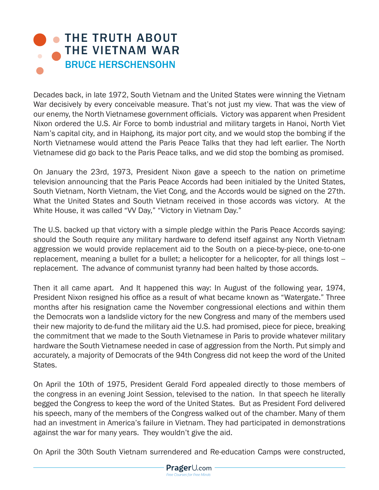## **• THE TRUTH ABOUT** [THE VIETNAM WAR](https://www.prageru.com/courses/history/truth-about-vietnam-war) BRUCE HERSCHENSOHN

Decades back, in late 1972, South Vietnam and the United States were winning the Vietnam War decisively by every conceivable measure. That's not just my view. That was the view of our enemy, the North Vietnamese government officials. Victory was apparent when President Nixon ordered the U.S. Air Force to bomb industrial and military targets in Hanoi, North Viet Nam's capital city, and in Haiphong, its major port city, and we would stop the bombing if the North Vietnamese would attend the Paris Peace Talks that they had left earlier. The North Vietnamese did go back to the Paris Peace talks, and we did stop the bombing as promised.

On January the 23rd, 1973, President Nixon gave a speech to the nation on primetime television announcing that the Paris Peace Accords had been initialed by the United States, South Vietnam, North Vietnam, the Viet Cong, and the Accords would be signed on the 27th. What the United States and South Vietnam received in those accords was victory. At the White House, it was called "VV Day," "Victory in Vietnam Day."

The U.S. backed up that victory with a simple pledge within the Paris Peace Accords saying: should the South require any military hardware to defend itself against any North Vietnam aggression we would provide replacement aid to the South on a piece-by-piece, one-to-one replacement, meaning a bullet for a bullet; a helicopter for a helicopter, for all things lost -replacement. The advance of communist tyranny had been halted by those accords.

Then it all came apart. And It happened this way: In August of the following year, 1974, President Nixon resigned his office as a result of what became known as "Watergate." Three months after his resignation came the November congressional elections and within them the Democrats won a landslide victory for the new Congress and many of the members used their new majority to de-fund the military aid the U.S. had promised, piece for piece, breaking the commitment that we made to the South Vietnamese in Paris to provide whatever military hardware the South Vietnamese needed in case of aggression from the North. Put simply and accurately, a majority of Democrats of the 94th Congress did not keep the word of the United States.

On April the 10th of 1975, President Gerald Ford appealed directly to those members of the congress in an evening Joint Session, televised to the nation. In that speech he literally begged the Congress to keep the word of the United States. But as President Ford delivered his speech, many of the members of the Congress walked out of the chamber. Many of them had an investment in America's failure in Vietnam. They had participated in demonstrations against the war for many years. They wouldn't give the aid.

On April the 30th South Vietnam surrendered and Re-education Camps were constructed,